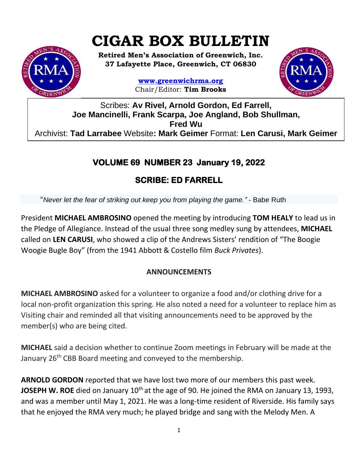# **CIGAR BOX BULLETIN**

**Retired Men's Association of Greenwich, Inc. 37 Lafayette Place, Greenwich, CT 06830**

> **www.greenwichrma.org** Chair/Editor: **Tim Brooks**



Scribes: **Av Rivel, Arnold Gordon, Ed Farrell, Joe Mancinelli, Frank Scarpa, Joe Angland, Bob Shullman, Fred Wu** Archivist: **Tad Larrabee** Website**: Mark Geimer** Format: **Len Carusi, Mark Geimer c**

## **VOLUME 69 NUMBER 23 January 19, 2022**

# **SCRIBE: ED FARRELL**

"*Never let the fear of striking out keep you from playing the game." -* Babe Ruth

President **MICHAEL AMBROSINO** opened the meeting by introducing **TOM HEALY** to lead us in the Pledge of Allegiance. Instead of the usual three song medley sung by attendees, **MICHAEL** called on **LEN CARUSI**, who showed a clip of the Andrews Sisters' rendition of "The Boogie Woogie Bugle Boy" (from the 1941 Abbott & Costello film *Buck Privates*).

### **ANNOUNCEMENTS**

**MICHAEL AMBROSINO** asked for a volunteer to organize a food and/or clothing drive for a local non-profit organization this spring. He also noted a need for a volunteer to replace him as Visiting chair and reminded all that visiting announcements need to be approved by the member(s) who are being cited.

**MICHAEL** said a decision whether to continue Zoom meetings in February will be made at the January 26<sup>th</sup> CBB Board meeting and conveyed to the membership.

**ARNOLD GORDON** reported that we have lost two more of our members this past week. **JOSEPH W. ROE** died on January 10<sup>th</sup> at the age of 90. He joined the RMA on January 13, 1993, and was a member until May 1, 2021. He was a long-time resident of Riverside. His family says that he enjoyed the RMA very much; he played bridge and sang with the Melody Men. A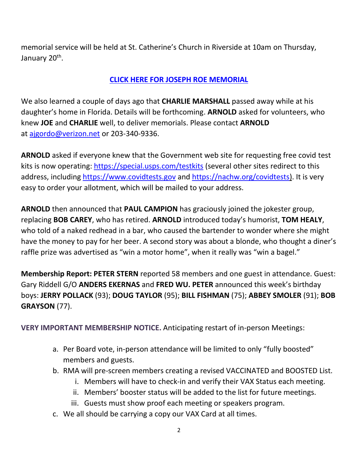memorial service will be held at St. Catherine's Church in Riverside at 10am on Thursday, January 20<sup>th</sup>.

#### **[CLICK HERE FOR JOSEPH ROE MEMORIAL](https://mcusercontent.com/053716f9c54f7992fd5ff0675/files/55c3c245-407d-a263-c3a8-69a21b50f6e9/Joseph_Roe_Memorial.pdf)**

We also learned a couple of days ago that **CHARLIE MARSHALL** passed away while at his daughter's home in Florida. Details will be forthcoming. **ARNOLD** asked for volunteers, who knew **JOE** and **CHARLIE** well, to deliver memorials. Please contact **ARNOLD** at [ajgordo@verizon.net](mailto:ajgordo@verizon.net) or 203-340-9336.

**ARNOLD** asked if everyone knew that the Government web site for requesting free covid test kits is now operating:<https://special.usps.com/testkits> (several other sites redirect to this address, including [https://www.covidtests.gov](https://www.covidtests.gov/) and [https://nachw.org/covidtests\)](https://nachw.org/covidtests/). It is very easy to order your allotment, which will be mailed to your address.

**ARNOLD** then announced that **PAUL CAMPION** has graciously joined the jokester group, replacing **BOB CAREY**, who has retired. **ARNOLD** introduced today's humorist, **TOM HEALY**, who told of a naked redhead in a bar, who caused the bartender to wonder where she might have the money to pay for her beer. A second story was about a blonde, who thought a diner's raffle prize was advertised as "win a motor home", when it really was "win a bagel."

**Membership Report: PETER STERN** reported 58 members and one guest in attendance. Guest: Gary Riddell G/O **ANDERS EKERNAS** and **FRED WU. PETER** announced this week's birthday boys: **JERRY POLLACK** (93); **DOUG TAYLOR** (95); **BILL FISHMAN** (75); **ABBEY SMOLER** (91); **BOB GRAYSON** (77).

**VERY IMPORTANT MEMBERSHIP NOTICE.** Anticipating restart of in-person Meetings:

- a. Per Board vote, in-person attendance will be limited to only "fully boosted" members and guests.
- b. RMA will pre-screen members creating a revised VACCINATED and BOOSTED List.
	- i. Members will have to check-in and verify their VAX Status each meeting.
	- ii. Members' booster status will be added to the list for future meetings.
	- iii. Guests must show proof each meeting or speakers program.
- c. We all should be carrying a copy our VAX Card at all times.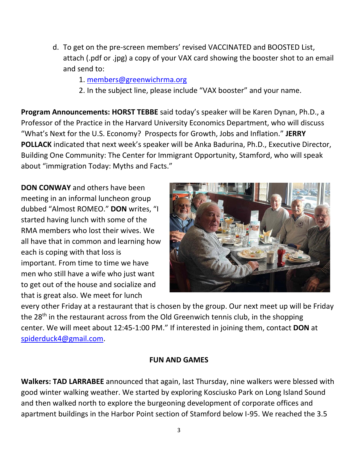- d. To get on the pre-screen members' revised VACCINATED and BOOSTED List, attach (.pdf or .jpg) a copy of your VAX card showing the booster shot to an email and send to:
	- 1. [members@greenwichrma.org](mailto:members@greenwichrma.org)
	- 2. In the subject line, please include "VAX booster" and your name.

**Program Announcements: HORST TEBBE** said today's speaker will be Karen Dynan, Ph.D., a Professor of the Practice in the Harvard University Economics Department, who will discuss "What's Next for the U.S. Economy? Prospects for Growth, Jobs and Inflation." **JERRY POLLACK** indicated that next week's speaker will be Anka Badurina, Ph.D., Executive Director, Building One Community: The Center for Immigrant Opportunity, Stamford, who will speak about "immigration Today: Myths and Facts."

**DON CONWAY** and others have been meeting in an informal luncheon group dubbed "Almost ROMEO." **DON** writes, "I started having lunch with some of the RMA members who lost their wives. We all have that in common and learning how each is coping with that loss is important. From time to time we have men who still have a wife who just want to get out of the house and socialize and that is great also. We meet for lunch



every other Friday at a restaurant that is chosen by the group. Our next meet up will be Friday the 28<sup>th</sup> in the restaurant across from the Old Greenwich tennis club, in the shopping center. We will meet about 12:45-1:00 PM." If interested in joining them, contact **DON** at [spiderduck4@gmail.com.](mailto:spiderduck4@gmail.com)

#### **FUN AND GAMES**

**Walkers: TAD LARRABEE** announced that again, last Thursday, nine walkers were blessed with good winter walking weather. We started by exploring Kosciusko Park on Long Island Sound and then walked north to explore the burgeoning development of corporate offices and apartment buildings in the Harbor Point section of Stamford below I-95. We reached the 3.5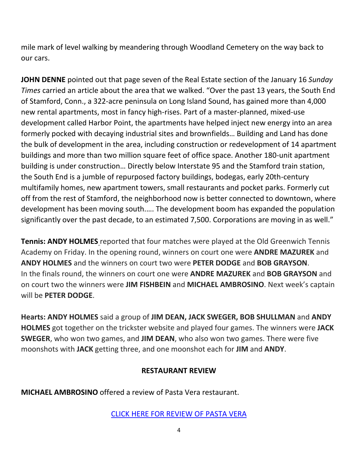mile mark of level walking by meandering through Woodland Cemetery on the way back to our cars.

**JOHN DENNE** pointed out that page seven of the Real Estate section of the January 16 *Sunday Times* carried an article about the area that we walked. "Over the past 13 years, the South End of Stamford, Conn., a 322-acre peninsula on Long Island Sound, has gained more than 4,000 new rental apartments, most in fancy high-rises. Part of a master-planned, mixed-use development called Harbor Point, the apartments have helped inject new energy into an area formerly pocked with decaying industrial sites and brownfields… Building and Land has done the bulk of development in the area, including construction or redevelopment of 14 apartment buildings and more than two million square feet of office space. Another 180-unit apartment building is under construction… Directly below Interstate 95 and the Stamford train station, the South End is a jumble of repurposed factory buildings, bodegas, early 20th-century multifamily homes, new apartment towers, small restaurants and pocket parks. Formerly cut off from the rest of Stamford, the neighborhood now is better connected to downtown, where development has been moving south.…. The development boom has expanded the population significantly over the past decade, to an estimated 7,500. Corporations are moving in as well."

**Tennis: ANDY HOLMES** reported that four matches were played at the Old Greenwich Tennis Academy on Friday. In the opening round, winners on court one were **ANDRE MAZUREK** and **ANDY HOLMES** and the winners on court two were **PETER DODGE** and **BOB GRAYSON**. In the finals round, the winners on court one were **ANDRE MAZUREK** and **BOB GRAYSON** and on court two the winners were **JIM FISHBEIN** and **MICHAEL AMBROSINO**. Next week's captain will be **PETER DODGE**.

**Hearts: ANDY HOLMES** said a group of **JIM DEAN, JACK SWEGER, BOB SHULLMAN** and **ANDY HOLMES** got together on the trickster website and played four games. The winners were **JACK SWEGER**, who won two games, and **JIM DEAN**, who also won two games. There were five moonshots with **JACK** getting three, and one moonshot each for **JIM** and **ANDY**.

#### **RESTAURANT REVIEW**

**MICHAEL AMBROSINO** offered a review of Pasta Vera restaurant.

#### [CLICK HERE FOR REVIEW OF PASTA VERA](https://mcusercontent.com/053716f9c54f7992fd5ff0675/files/b26e49c6-7a86-3651-8858-df1cbc43b479/Pasta_Vera.pdf)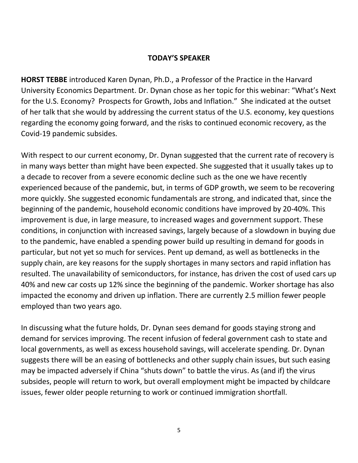#### **TODAY'S SPEAKER**

**HORST TEBBE** introduced Karen Dynan, Ph.D., a Professor of the Practice in the Harvard University Economics Department. Dr. Dynan chose as her topic for this webinar: "What's Next for the U.S. Economy? Prospects for Growth, Jobs and Inflation." She indicated at the outset of her talk that she would by addressing the current status of the U.S. economy, key questions regarding the economy going forward, and the risks to continued economic recovery, as the Covid-19 pandemic subsides.

With respect to our current economy, Dr. Dynan suggested that the current rate of recovery is in many ways better than might have been expected. She suggested that it usually takes up to a decade to recover from a severe economic decline such as the one we have recently experienced because of the pandemic, but, in terms of GDP growth, we seem to be recovering more quickly. She suggested economic fundamentals are strong, and indicated that, since the beginning of the pandemic, household economic conditions have improved by 20-40%. This improvement is due, in large measure, to increased wages and government support. These conditions, in conjunction with increased savings, largely because of a slowdown in buying due to the pandemic, have enabled a spending power build up resulting in demand for goods in particular, but not yet so much for services. Pent up demand, as well as bottlenecks in the supply chain, are key reasons for the supply shortages in many sectors and rapid inflation has resulted. The unavailability of semiconductors, for instance, has driven the cost of used cars up 40% and new car costs up 12% since the beginning of the pandemic. Worker shortage has also impacted the economy and driven up inflation. There are currently 2.5 million fewer people employed than two years ago.

In discussing what the future holds, Dr. Dynan sees demand for goods staying strong and demand for services improving. The recent infusion of federal government cash to state and local governments, as well as excess household savings, will accelerate spending. Dr. Dynan suggests there will be an easing of bottlenecks and other supply chain issues, but such easing may be impacted adversely if China "shuts down" to battle the virus. As (and if) the virus subsides, people will return to work, but overall employment might be impacted by childcare issues, fewer older people returning to work or continued immigration shortfall.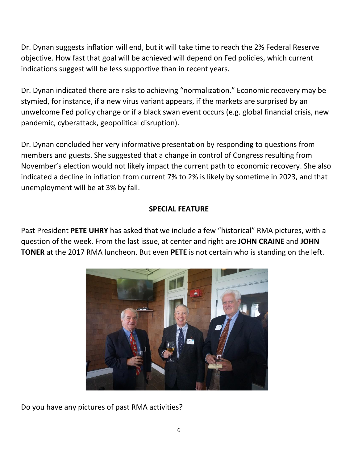Dr. Dynan suggests inflation will end, but it will take time to reach the 2% Federal Reserve objective. How fast that goal will be achieved will depend on Fed policies, which current indications suggest will be less supportive than in recent years.

Dr. Dynan indicated there are risks to achieving "normalization." Economic recovery may be stymied, for instance, if a new virus variant appears, if the markets are surprised by an unwelcome Fed policy change or if a black swan event occurs (e.g. global financial crisis, new pandemic, cyberattack, geopolitical disruption).

Dr. Dynan concluded her very informative presentation by responding to questions from members and guests. She suggested that a change in control of Congress resulting from November's election would not likely impact the current path to economic recovery. She also indicated a decline in inflation from current 7% to 2% is likely by sometime in 2023, and that unemployment will be at 3% by fall.

#### **SPECIAL FEATURE**

Past President **PETE UHRY** has asked that we include a few "historical" RMA pictures, with a question of the week. From the last issue, at center and right are **JOHN CRAINE** and **JOHN TONER** at the 2017 RMA luncheon. But even **PETE** is not certain who is standing on the left.



Do you have any pictures of past RMA activities?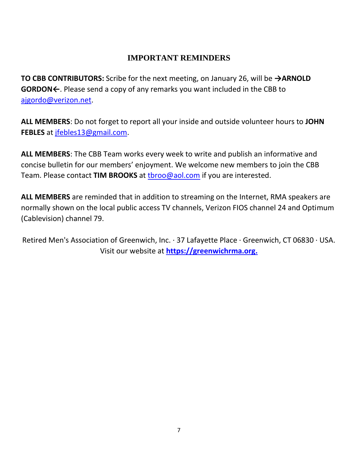#### **IMPORTANT REMINDERS**

**TO CBB CONTRIBUTORS:** Scribe for the next meeting, on January 26, will be **→ARNOLD GORDON←**. Please send a copy of any remarks you want included in the CBB to [ajgordo@verizon.net.](mailto:ajgordo@verizon.net)

**ALL MEMBERS**: Do not forget to report all your inside and outside volunteer hours to **JOHN FEBLES** at [jfebles13@gmail.com.](mailto:jfebles13@gmail.com)

**ALL MEMBERS**: The CBB Team works every week to write and publish an informative and concise bulletin for our members' enjoyment. We welcome new members to join the CBB Team. Please contact **TIM BROOKS** at [tbroo@aol.com](mailto:tbroo@aol.com) if you are interested.

**ALL MEMBERS** are reminded that in addition to streaming on the Internet, RMA speakers are normally shown on the local public access TV channels, Verizon FIOS channel 24 and Optimum (Cablevision) channel 79.

Retired Men's Association of Greenwich, Inc. · 37 Lafayette Place · Greenwich, CT 06830 · USA. Visit our website at **[https://greenwichrma.org.](https://greenwichrma.org/)**